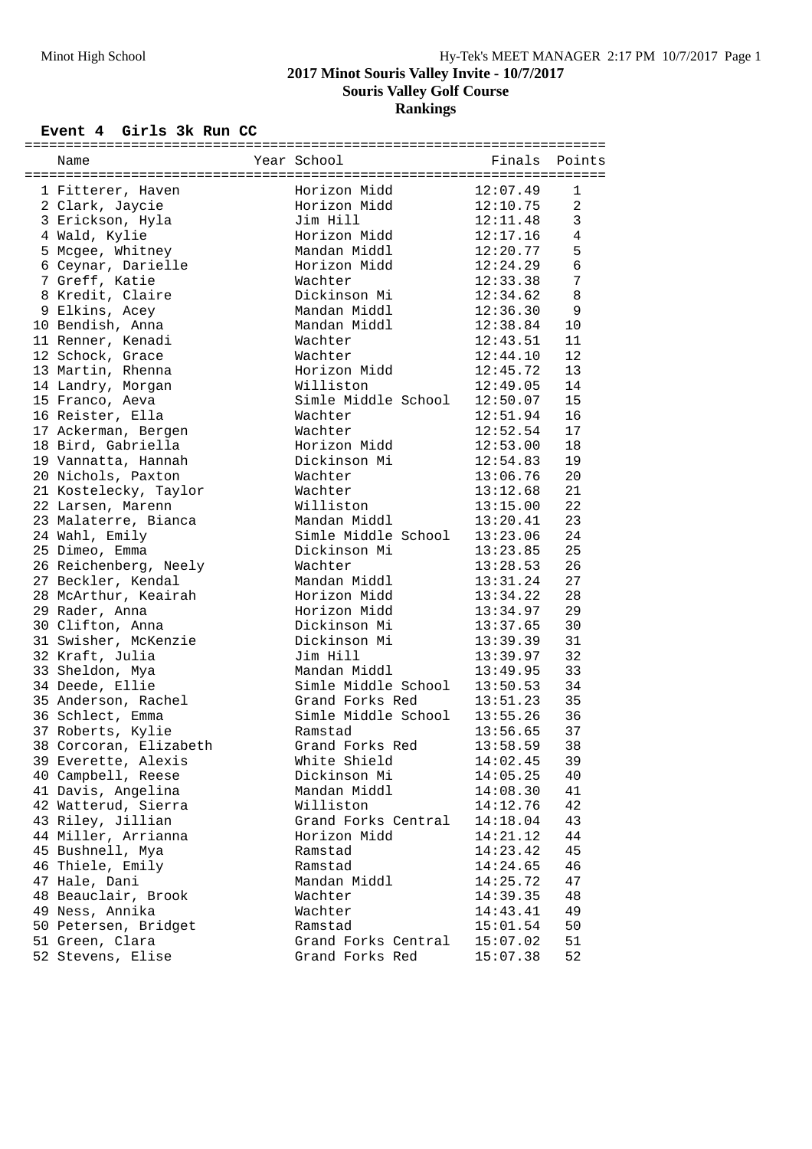### **2017 Minot Souris Valley Invite - 10/7/2017**

**Souris Valley Golf Course**

**Rankings**

# **Event 4 Girls 3k Run CC**

| Name                   | Year School                  | Finals Points            |                 |
|------------------------|------------------------------|--------------------------|-----------------|
| 1 Fitterer, Haven      | Horizon Midd                 | 12:07.49                 | 1               |
| 2 Clark, Jaycie        | Horizon Midd                 | 12:10.75                 | 2               |
| 3 Erickson, Hyla       | Jim Hill                     | 12:11.48                 | $\mathbf{3}$    |
| 4 Wald, Kylie          | Horizon Midd                 | 12:17.16                 | $\overline{4}$  |
| 5 Mcgee, Whitney       | Mandan Middl                 | 12:20.77                 | 5               |
| 6 Ceynar, Darielle     | Horizon Midd                 | 12:24.29                 | $\sqrt{6}$      |
| 7 Greff, Katie         | Wachter                      | 12:33.38                 | $7\phantom{.0}$ |
| 8 Kredit, Claire       | Dickinson Mi                 | 12:34.62                 | $\,8\,$         |
| 9 Elkins, Acey         | Mandan Middl                 | 12:36.30                 | 9               |
| 10 Bendish, Anna       | Mandan Middl                 | 12:38.84                 | 10              |
| 11 Renner, Kenadi      | Wachter                      | 12:43.51                 | 11              |
| 12 Schock, Grace       | Wachter                      | 12:44.10                 | 12              |
| 13 Martin, Rhenna      | Horizon Midd                 | 12:45.72                 | 13              |
| 14 Landry, Morgan      | Williston                    | 12:49.05                 | 14              |
| 15 Franco, Aeva        | Simle Middle School 12:50.07 |                          | 15              |
| 16 Reister, Ella       | Wachter                      | 12:51.94                 | 16              |
| 17 Ackerman, Bergen    | Wachter                      | 12:52.54                 | 17              |
| 18 Bird, Gabriella     | Horizon Midd                 | 12:53.00                 | 18              |
| 19 Vannatta, Hannah    | Dickinson Mi                 | 12:54.83                 | 19              |
| 20 Nichols, Paxton     | Wachter                      |                          | 20              |
| 21 Kostelecky, Taylor  | Wachter                      | $13:06.76$<br>$13:12.68$ | 21              |
| 22 Larsen, Marenn      | Williston                    | 13:15.00                 | 22              |
| 23 Malaterre, Bianca   | Mandan Middl                 | 13:20.41                 | 23              |
| 24 Wahl, Emily         | Simle Middle School 13:23.06 |                          | 24              |
| 25 Dimeo, Emma         | Dickinson Mi                 | 13:23.85                 | 25              |
| 26 Reichenberg, Neely  | Wachter                      | 13:28.53                 | 26              |
| 27 Beckler, Kendal     | Mandan Middl                 | 13:31.24                 | 27              |
| 28 McArthur, Keairah   | Horizon Midd                 | 13:34.22                 | 28              |
| 29 Rader, Anna         | Horizon Midd                 | 13:34.97                 | 29              |
| 30 Clifton, Anna       | Dickinson Mi                 | 13:37.65                 | 30              |
| 31 Swisher, McKenzie   | Dickinson Mi                 | 13:39.39                 | 31              |
| 32 Kraft, Julia        | Jim Hill                     | 13:39.97<br>13:49.95     | 32              |
| 33 Sheldon, Mya        | Mandan Middl                 |                          | 33              |
| 34 Deede, Ellie        | Simle Middle School 13:50.53 |                          | 34              |
| 35 Anderson, Rachel    | Grand Forks Red              | 13:51.23                 | 35              |
| 36 Schlect, Emma       | Simle Middle School 13:55.26 |                          | 36              |
| 37 Roberts, Kylie      | Ramstad                      | 13:56.65                 | 37              |
| 38 Corcoran, Elizabeth | Grand Forks Red              | 13:58.59                 | 38              |
| 39 Everette, Alexis    | White Shield                 | 14:02.45                 | 39              |
| 40 Campbell, Reese     | Dickinson Mi                 | 14:05.25                 | 40              |
| 41 Davis, Angelina     | Mandan Middl                 | 14:08.30                 | 41              |
| 42 Watterud, Sierra    | Williston                    | 14:12.76                 | 42              |
| 43 Riley, Jillian      | Grand Forks Central          | 14:18.04                 | 43              |
| 44 Miller, Arrianna    | Horizon Midd                 | 14:21.12                 | 44              |
| 45 Bushnell, Mya       | Ramstad                      | 14:23.42                 | 45              |
| 46 Thiele, Emily       | Ramstad                      | 14:24.65                 | 46              |
| 47 Hale, Dani          | Mandan Middl                 | 14:25.72                 | 47              |
| 48 Beauclair, Brook    | Wachter                      | 14:39.35                 | 48              |
| 49 Ness, Annika        | Wachter                      | 14:43.41                 | 49              |
| 50 Petersen, Bridget   | Ramstad                      | 15:01.54                 | 50              |
| 51 Green, Clara        | Grand Forks Central          | 15:07.02                 | 51              |
| 52 Stevens, Elise      | Grand Forks Red              | 15:07.38                 | 52              |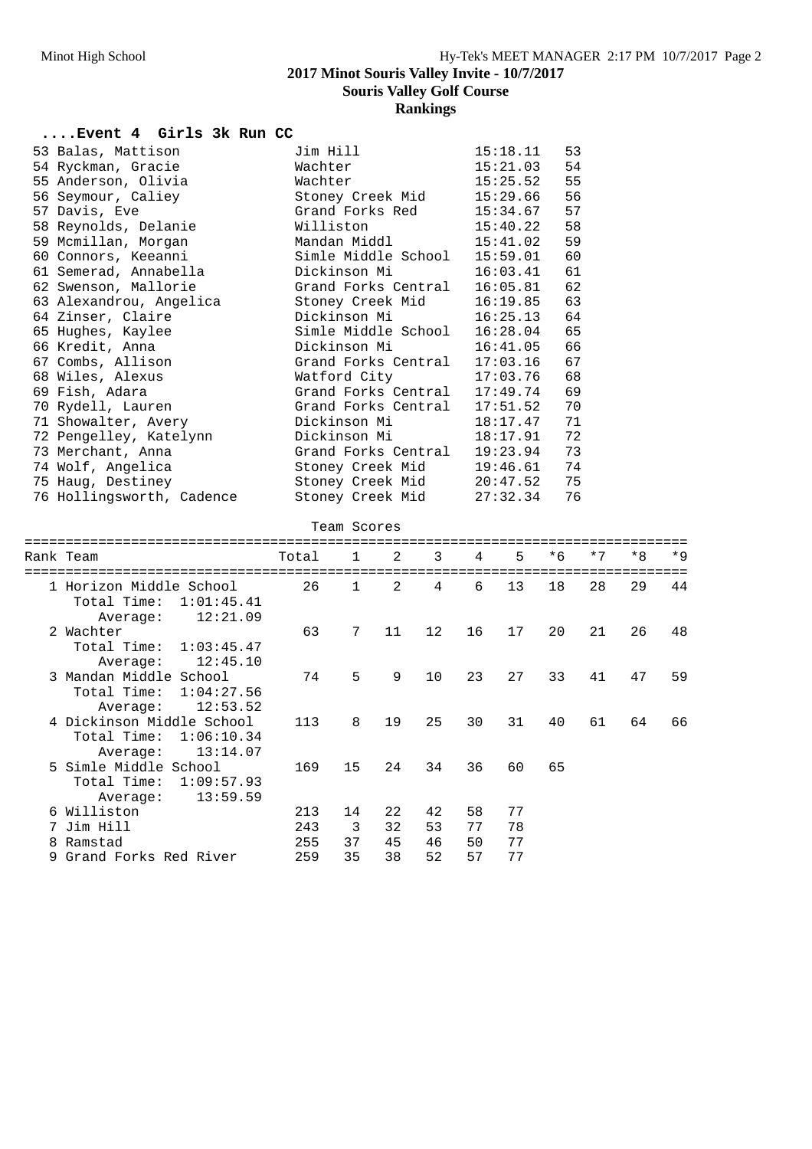### **2017 Minot Souris Valley Invite - 10/7/2017**

**Souris Valley Golf Course**

# **Rankings**

## **....Event 4 Girls 3k Run CC**

| 53 Balas, Mattison        | Jim Hill            | 15:18.11 | 53 |
|---------------------------|---------------------|----------|----|
| 54 Ryckman, Gracie        | Wachter             | 15:21.03 | 54 |
| 55 Anderson, Olivia       | Wachter             | 15:25.52 | 55 |
| 56 Seymour, Caliey        | Stoney Creek Mid    | 15:29.66 | 56 |
| 57 Davis, Eve             | Grand Forks Red     | 15:34.67 | 57 |
| 58 Reynolds, Delanie      | Williston           | 15:40.22 | 58 |
| 59 Mcmillan, Morgan       | Mandan Middl        | 15:41.02 | 59 |
| 60 Connors, Keeanni       | Simle Middle School | 15:59.01 | 60 |
| 61 Semerad, Annabella     | Dickinson Mi        | 16:03.41 | 61 |
| 62 Swenson, Mallorie      | Grand Forks Central | 16:05.81 | 62 |
| 63 Alexandrou, Angelica   | Stoney Creek Mid    | 16:19.85 | 63 |
| 64 Zinser, Claire         | Dickinson Mi        | 16:25.13 | 64 |
| 65 Hughes, Kaylee         | Simle Middle School | 16:28.04 | 65 |
| 66 Kredit, Anna           | Dickinson Mi        | 16:41.05 | 66 |
| 67 Combs, Allison         | Grand Forks Central | 17:03.16 | 67 |
| 68 Wiles, Alexus          | Watford City        | 17:03.76 | 68 |
| 69 Fish, Adara            | Grand Forks Central | 17:49.74 | 69 |
| 70 Rydell, Lauren         | Grand Forks Central | 17:51.52 | 70 |
| 71 Showalter, Avery       | Dickinson Mi        | 18:17.47 | 71 |
| 72 Pengelley, Katelynn    | Dickinson Mi        | 18:17.91 | 72 |
| 73 Merchant, Anna         | Grand Forks Central | 19:23.94 | 73 |
| 74 Wolf, Angelica         | Stoney Creek Mid    | 19:46.61 | 74 |
| 75 Haug, Destiney         | Stoney Creek Mid    | 20:47.52 | 75 |
| 76 Hollingsworth, Cadence | Stoney Creek Mid    | 27:32.34 | 76 |

#### Team Scores

| Rank Team                                                                      | Total      | 1            | 2        | 3        | $\overline{4}$ | 5        | $*6$ | $*7$ | $*8$ | $*9$ |
|--------------------------------------------------------------------------------|------------|--------------|----------|----------|----------------|----------|------|------|------|------|
| 1 Horizon Middle School<br>Total Time:<br>1:01:45.41<br>12:21.09               | 26         | $\mathbf{1}$ | 2        | 4        | 6              | 13       | 18   | 28   | 29   | 44   |
| Average:<br>2 Wachter<br>Total Time: 1:03:45.47<br>12:45.10<br>Average:        | 63         | 7            | 11       | 12       | 16             | 17       | 20   | 21   | 26   | 48   |
| 3 Mandan Middle School<br>Total Time:<br>1:04:27.56<br>12:53.52<br>Average:    | 74         | 5            | 9        | 10       | 23             | 27       | 33   | 41   | 47   | 59   |
| 4 Dickinson Middle School<br>Total Time:<br>1:06:10.34<br>13:14.07<br>Average: | 113        | 8            | 19       | 25       | 30             | 31       | 40   | 61   | 64   | 66   |
| 5 Simle Middle School<br>Total Time:<br>1:09:57.93<br>13:59.59<br>Average:     | 169        | 15           | 24       | 34       | 36             | 60       | 65   |      |      |      |
| 6 Williston<br>7 Jim Hill                                                      | 213<br>243 | 14<br>3      | 22<br>32 | 42<br>53 | 58<br>77       | 77<br>78 |      |      |      |      |
| 8 Ramstad<br>9 Grand Forks Red River                                           | 255<br>259 | 37<br>35     | 45<br>38 | 46<br>52 | 50<br>57       | 77<br>77 |      |      |      |      |